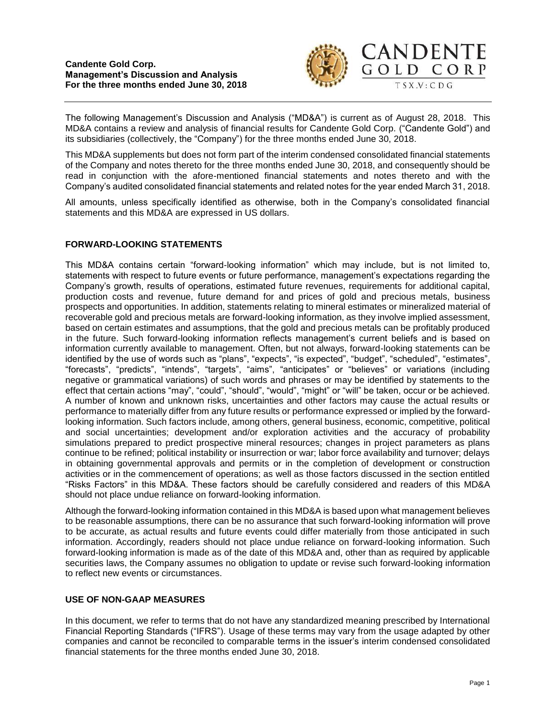

The following Management's Discussion and Analysis ("MD&A") is current as of August 28, 2018. This MD&A contains a review and analysis of financial results for Candente Gold Corp. ("Candente Gold") and its subsidiaries (collectively, the "Company") for the three months ended June 30, 2018.

This MD&A supplements but does not form part of the interim condensed consolidated financial statements of the Company and notes thereto for the three months ended June 30, 2018, and consequently should be read in conjunction with the afore-mentioned financial statements and notes thereto and with the Company's audited consolidated financial statements and related notes for the year ended March 31, 2018.

All amounts, unless specifically identified as otherwise, both in the Company's consolidated financial statements and this MD&A are expressed in US dollars.

# **FORWARD-LOOKING STATEMENTS**

This MD&A contains certain "forward-looking information" which may include, but is not limited to, statements with respect to future events or future performance, management's expectations regarding the Company's growth, results of operations, estimated future revenues, requirements for additional capital, production costs and revenue, future demand for and prices of gold and precious metals, business prospects and opportunities. In addition, statements relating to mineral estimates or mineralized material of recoverable gold and precious metals are forward-looking information, as they involve implied assessment, based on certain estimates and assumptions, that the gold and precious metals can be profitably produced in the future. Such forward-looking information reflects management's current beliefs and is based on information currently available to management. Often, but not always, forward-looking statements can be identified by the use of words such as "plans", "expects", "is expected", "budget", "scheduled", "estimates", "forecasts", "predicts", "intends", "targets", "aims", "anticipates" or "believes" or variations (including negative or grammatical variations) of such words and phrases or may be identified by statements to the effect that certain actions "may", "could", "should", "would", "might" or "will" be taken, occur or be achieved. A number of known and unknown risks, uncertainties and other factors may cause the actual results or performance to materially differ from any future results or performance expressed or implied by the forwardlooking information. Such factors include, among others, general business, economic, competitive, political and social uncertainties; development and/or exploration activities and the accuracy of probability simulations prepared to predict prospective mineral resources; changes in project parameters as plans continue to be refined; political instability or insurrection or war; labor force availability and turnover; delays in obtaining governmental approvals and permits or in the completion of development or construction activities or in the commencement of operations; as well as those factors discussed in the section entitled "Risks Factors" in this MD&A. These factors should be carefully considered and readers of this MD&A should not place undue reliance on forward-looking information.

Although the forward-looking information contained in this MD&A is based upon what management believes to be reasonable assumptions, there can be no assurance that such forward-looking information will prove to be accurate, as actual results and future events could differ materially from those anticipated in such information. Accordingly, readers should not place undue reliance on forward-looking information. Such forward-looking information is made as of the date of this MD&A and, other than as required by applicable securities laws, the Company assumes no obligation to update or revise such forward-looking information to reflect new events or circumstances.

# **USE OF NON-GAAP MEASURES**

In this document, we refer to terms that do not have any standardized meaning prescribed by International Financial Reporting Standards ("IFRS"). Usage of these terms may vary from the usage adapted by other companies and cannot be reconciled to comparable terms in the issuer's interim condensed consolidated financial statements for the three months ended June 30, 2018.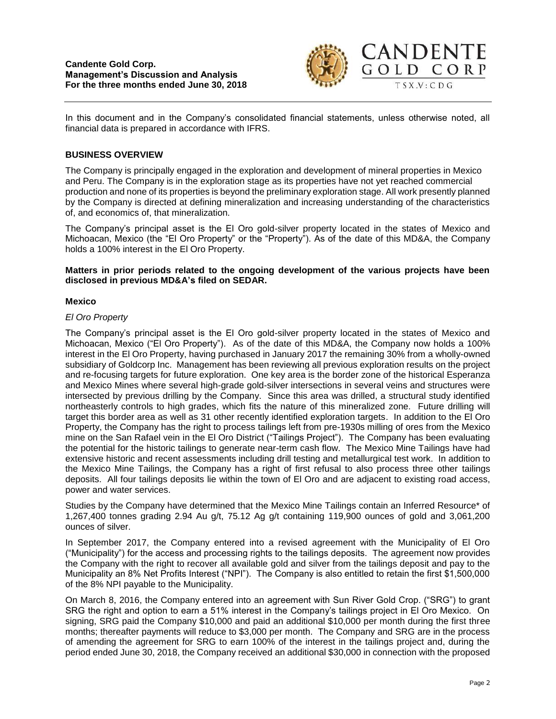

In this document and in the Company's consolidated financial statements, unless otherwise noted, all financial data is prepared in accordance with IFRS.

## **BUSINESS OVERVIEW**

The Company is principally engaged in the exploration and development of mineral properties in Mexico and Peru. The Company is in the exploration stage as its properties have not yet reached commercial production and none of its properties is beyond the preliminary exploration stage. All work presently planned by the Company is directed at defining mineralization and increasing understanding of the characteristics of, and economics of, that mineralization.

The Company's principal asset is the El Oro gold-silver property located in the states of Mexico and Michoacan, Mexico (the "El Oro Property" or the "Property"). As of the date of this MD&A, the Company holds a 100% interest in the El Oro Property.

### **Matters in prior periods related to the ongoing development of the various projects have been disclosed in previous MD&A's filed on SEDAR.**

### **Mexico**

### *El Oro Property*

The Company's principal asset is the El Oro gold-silver property located in the states of Mexico and Michoacan, Mexico ("El Oro Property"). As of the date of this MD&A, the Company now holds a 100% interest in the El Oro Property, having purchased in January 2017 the remaining 30% from a wholly-owned subsidiary of Goldcorp Inc. Management has been reviewing all previous exploration results on the project and re-focusing targets for future exploration. One key area is the border zone of the historical Esperanza and Mexico Mines where several high-grade gold-silver intersections in several veins and structures were intersected by previous drilling by the Company. Since this area was drilled, a structural study identified northeasterly controls to high grades, which fits the nature of this mineralized zone. Future drilling will target this border area as well as 31 other recently identified exploration targets. In addition to the El Oro Property, the Company has the right to process tailings left from pre-1930s milling of ores from the Mexico mine on the San Rafael vein in the El Oro District ("Tailings Project"). The Company has been evaluating the potential for the historic tailings to generate near-term cash flow. The Mexico Mine Tailings have had extensive historic and recent assessments including drill testing and metallurgical test work. In addition to the Mexico Mine Tailings, the Company has a right of first refusal to also process three other tailings deposits. All four tailings deposits lie within the town of El Oro and are adjacent to existing road access, power and water services.

Studies by the Company have determined that the Mexico Mine Tailings contain an Inferred Resource\* of 1,267,400 tonnes grading 2.94 Au g/t, 75.12 Ag g/t containing 119,900 ounces of gold and 3,061,200 ounces of silver.

In September 2017, the Company entered into a revised agreement with the Municipality of El Oro ("Municipality") for the access and processing rights to the tailings deposits. The agreement now provides the Company with the right to recover all available gold and silver from the tailings deposit and pay to the Municipality an 8% Net Profits Interest ("NPI"). The Company is also entitled to retain the first \$1,500,000 of the 8% NPI payable to the Municipality.

On March 8, 2016, the Company entered into an agreement with Sun River Gold Crop. ("SRG") to grant SRG the right and option to earn a 51% interest in the Company's tailings project in El Oro Mexico. On signing, SRG paid the Company \$10,000 and paid an additional \$10,000 per month during the first three months; thereafter payments will reduce to \$3,000 per month. The Company and SRG are in the process of amending the agreement for SRG to earn 100% of the interest in the tailings project and, during the period ended June 30, 2018, the Company received an additional \$30,000 in connection with the proposed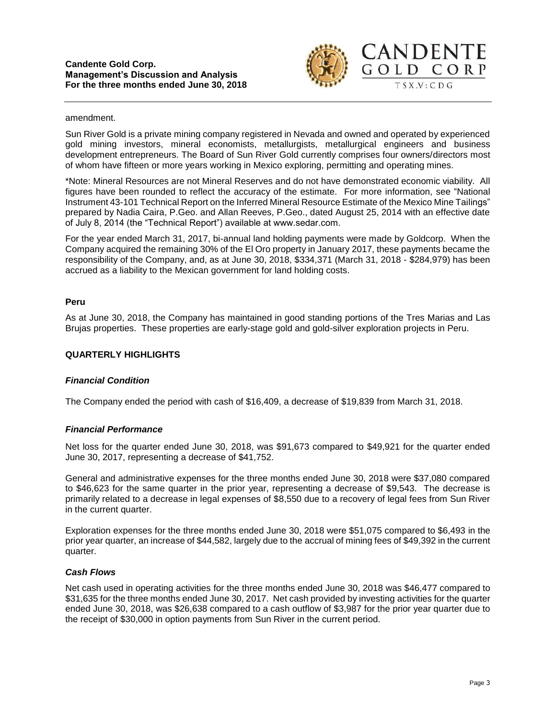

#### amendment.

Sun River Gold is a private mining company registered in Nevada and owned and operated by experienced gold mining investors, mineral economists, metallurgists, metallurgical engineers and business development entrepreneurs. The Board of Sun River Gold currently comprises four owners/directors most of whom have fifteen or more years working in Mexico exploring, permitting and operating mines.

\*Note: Mineral Resources are not Mineral Reserves and do not have demonstrated economic viability. All figures have been rounded to reflect the accuracy of the estimate. For more information, see "National Instrument 43-101 Technical Report on the Inferred Mineral Resource Estimate of the Mexico Mine Tailings" prepared by Nadia Caira, P.Geo. and Allan Reeves, P.Geo., dated August 25, 2014 with an effective date of July 8, 2014 (the "Technical Report") available at www.sedar.com.

For the year ended March 31, 2017, bi-annual land holding payments were made by Goldcorp. When the Company acquired the remaining 30% of the El Oro property in January 2017, these payments became the responsibility of the Company, and, as at June 30, 2018, \$334,371 (March 31, 2018 - \$284,979) has been accrued as a liability to the Mexican government for land holding costs.

### **Peru**

As at June 30, 2018, the Company has maintained in good standing portions of the Tres Marias and Las Brujas properties. These properties are early-stage gold and gold-silver exploration projects in Peru.

### **QUARTERLY HIGHLIGHTS**

### *Financial Condition*

The Company ended the period with cash of \$16,409, a decrease of \$19,839 from March 31, 2018.

### *Financial Performance*

Net loss for the quarter ended June 30, 2018, was \$91,673 compared to \$49,921 for the quarter ended June 30, 2017, representing a decrease of \$41,752.

General and administrative expenses for the three months ended June 30, 2018 were \$37,080 compared to \$46,623 for the same quarter in the prior year, representing a decrease of \$9,543. The decrease is primarily related to a decrease in legal expenses of \$8,550 due to a recovery of legal fees from Sun River in the current quarter.

Exploration expenses for the three months ended June 30, 2018 were \$51,075 compared to \$6,493 in the prior year quarter, an increase of \$44,582, largely due to the accrual of mining fees of \$49,392 in the current quarter.

### *Cash Flows*

Net cash used in operating activities for the three months ended June 30, 2018 was \$46,477 compared to \$31,635 for the three months ended June 30, 2017. Net cash provided by investing activities for the quarter ended June 30, 2018, was \$26,638 compared to a cash outflow of \$3,987 for the prior year quarter due to the receipt of \$30,000 in option payments from Sun River in the current period.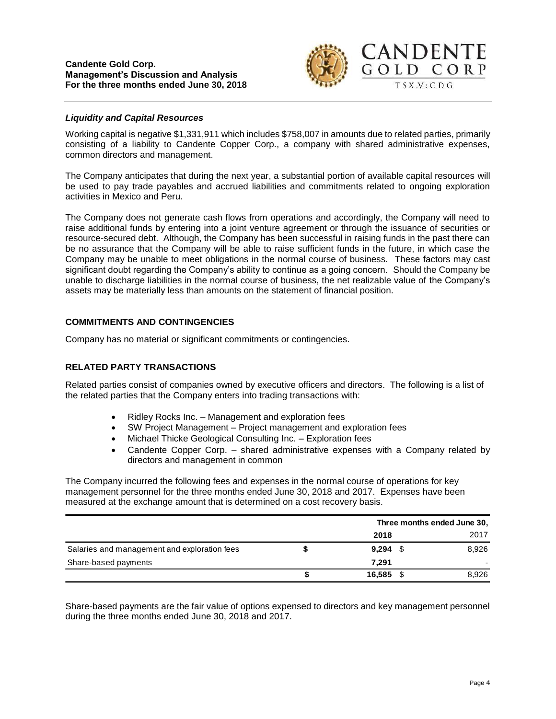

### *Liquidity and Capital Resources*

Working capital is negative \$1,331,911 which includes \$758,007 in amounts due to related parties, primarily consisting of a liability to Candente Copper Corp., a company with shared administrative expenses, common directors and management.

The Company anticipates that during the next year, a substantial portion of available capital resources will be used to pay trade payables and accrued liabilities and commitments related to ongoing exploration activities in Mexico and Peru.

The Company does not generate cash flows from operations and accordingly, the Company will need to raise additional funds by entering into a joint venture agreement or through the issuance of securities or resource-secured debt. Although, the Company has been successful in raising funds in the past there can be no assurance that the Company will be able to raise sufficient funds in the future, in which case the Company may be unable to meet obligations in the normal course of business. These factors may cast significant doubt regarding the Company's ability to continue as a going concern. Should the Company be unable to discharge liabilities in the normal course of business, the net realizable value of the Company's assets may be materially less than amounts on the statement of financial position.

## **COMMITMENTS AND CONTINGENCIES**

Company has no material or significant commitments or contingencies.

# **RELATED PARTY TRANSACTIONS**

Related parties consist of companies owned by executive officers and directors. The following is a list of the related parties that the Company enters into trading transactions with:

- Ridley Rocks Inc. Management and exploration fees
- SW Project Management Project management and exploration fees
- Michael Thicke Geological Consulting Inc. Exploration fees
- Candente Copper Corp. shared administrative expenses with a Company related by directors and management in common

The Company incurred the following fees and expenses in the normal course of operations for key management personnel for the three months ended June 30, 2018 and 2017. Expenses have been measured at the exchange amount that is determined on a cost recovery basis.

|                                              |            | Three months ended June 30, |       |  |
|----------------------------------------------|------------|-----------------------------|-------|--|
|                                              | 2018       |                             | 2017  |  |
| Salaries and management and exploration fees | $9,294$ \$ |                             | 8,926 |  |
| Share-based payments                         | 7.291      |                             |       |  |
|                                              | 16.585     |                             | 8,926 |  |

Share-based payments are the fair value of options expensed to directors and key management personnel during the three months ended June 30, 2018 and 2017.